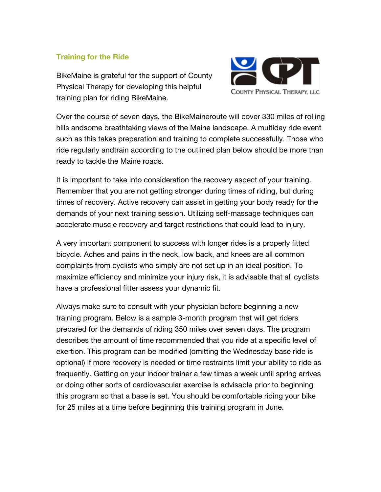## **Training for the Ride**

BikeMaine is grateful for the support of County Physical Therapy for developing this helpful training plan for riding BikeMaine.



Over the course of seven days, the BikeMaineroute will cover 330 miles of rolling hills andsome breathtaking views of the Maine landscape. A multiday ride event such as this takes preparation and training to complete successfully. Those who ride regularly andtrain according to the outlined plan below should be more than ready to tackle the Maine roads.

It is important to take into consideration the recovery aspect of your training. Remember that you are not getting stronger during times of riding, but during times of recovery. Active recovery can assist in getting your body ready for the demands of your next training session. Utilizing self-massage techniques can accelerate muscle recovery and target restrictions that could lead to injury.

A very important component to success with longer rides is a properly fitted bicycle. Aches and pains in the neck, low back, and knees are all common complaints from cyclists who simply are not set up in an ideal position. To maximize efficiency and minimize your injury risk, it is advisable that all cyclists have a professional fitter assess your dynamic fit.

Always make sure to consult with your physician before beginning a new training program. Below is a sample 3-month program that will get riders prepared for the demands of riding 350 miles over seven days. The program describes the amount of time recommended that you ride at a specific level of exertion. This program can be modified (omitting the Wednesday base ride is optional) if more recovery is needed or time restraints limit your ability to ride as frequently. Getting on your indoor trainer a few times a week until spring arrives or doing other sorts of cardiovascular exercise is advisable prior to beginning this program so that a base is set. You should be comfortable riding your bike for 25 miles at a time before beginning this training program in June.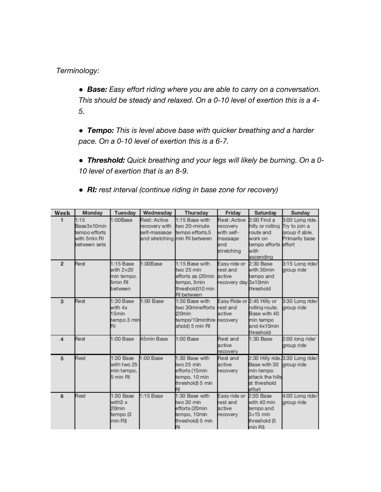## *Terminology:*

● *Base: Easy effort riding where you are able to carry on a conversation. This should be steady and relaxed. On a 0-10 level of exertion this is a 4- 5.* 

● *Tempo: This is level above base with quicker breathing and a harder pace. On a 0-10 level of exertion this is a 6-7.* 

● *Threshold: Quick breathing and your legs will likely be burning. On a 0- 10 level of exertion that is an 8-9.* 

● *RI: rest interval (continue riding in base zone for recovery)* 

| Week                    | Monday                                                               | <b>Tuesday</b>                                                      | Wednesday                                            | Thursday                                                                                                  | Friday                                                                 | Saturday                                                                                               | Sunday                                                               |
|-------------------------|----------------------------------------------------------------------|---------------------------------------------------------------------|------------------------------------------------------|-----------------------------------------------------------------------------------------------------------|------------------------------------------------------------------------|--------------------------------------------------------------------------------------------------------|----------------------------------------------------------------------|
| 1                       | 1:15<br>Base3x10min<br>tempo efforts<br>with 5min RI<br>between sets | 1:00Base                                                            | <b>Rest: Active</b><br>recovery with<br>self-massage | 1:15 Base with<br>two 20-minute<br>tempo efforts.5<br>and stretching min RI between                       | Rest: Active<br>recovery<br>with self-<br>massage<br>and<br>stretching | $2:00$ Find a<br>hilly or rolling<br>route and<br>work on<br>tempo efforts effort<br>with<br>ascending | 3:00 Long ride.<br>Try to join a<br>aroup if able.<br>Primarily base |
| $\overline{2}$          | Rest                                                                 | $1:15$ Base<br>with $2\times20$<br>min tempo.<br>5min RI<br>between | 1:00Base                                             | 1:15 Base with<br>two 25 min<br>efforts as (20min active<br>tempo, 5min<br>threshold)10 min<br>RI between | Easy ride or<br>rest and<br>recovery day 3x10min                       | 2:30 Base<br>with 30min<br>tempo and<br>threshold                                                      | 3:15 Long ride/<br>group ride                                        |
| 3                       | Rest                                                                 | 1:30 Base<br>with $4x$<br>15min<br>tempo 3 min<br>RI                | 1:00 Base                                            | 1:30 Base with<br>two 30minefforts<br>(20min<br>tempo/10minthre recovery<br>shold) 5 min RI               | Easy Ride or 2:45 Hilly or<br>rest and<br>active                       | rolling route.<br>Base with 40<br>min tempo<br>and 4x10min<br>threshold                                | 3:30 Long ride/<br>group ride                                        |
| $\overline{\mathbf{4}}$ | Rest                                                                 | $1:00$ Base                                                         | 45min Base                                           | 1:00 Base                                                                                                 | Rest and<br>active<br>recovery                                         | 1:30 Base                                                                                              | 2:00 long ride/<br>group ride                                        |
| 5                       | Rest                                                                 | 1:30 Base<br>with two 25<br>min tempo,<br>5 min RI                  | 1:00 Base                                            | 1:30 Base with<br>two 25 min<br>efforts (15min<br>tempo, 10 min<br>threshold) 5 min                       | Rest and<br>active<br>recovery                                         | Base with 30<br>min tempo<br>attack the hills<br>at threshold<br>effort                                | 2:30 Hilly ride.3:30 Long ride/<br>group ride                        |
| 6                       | Rest                                                                 | 1:30 Base<br>with $3x$<br>20 <sub>min</sub><br>tempo (3<br>min RI)  | $1:15$ Base                                          | 1:30 Base with<br>two 30 min<br>efforts (20min<br>tempo, 10min<br>threshold) 5 min                        | Easy ride or<br>rest and<br>active<br>recovery                         | 2:30 Base<br>with 40 min<br>tempo and<br>$3\times15$ min<br>threshold (5<br>min R <sub>D</sub>         | 4:00 Long ride/<br>group ride                                        |